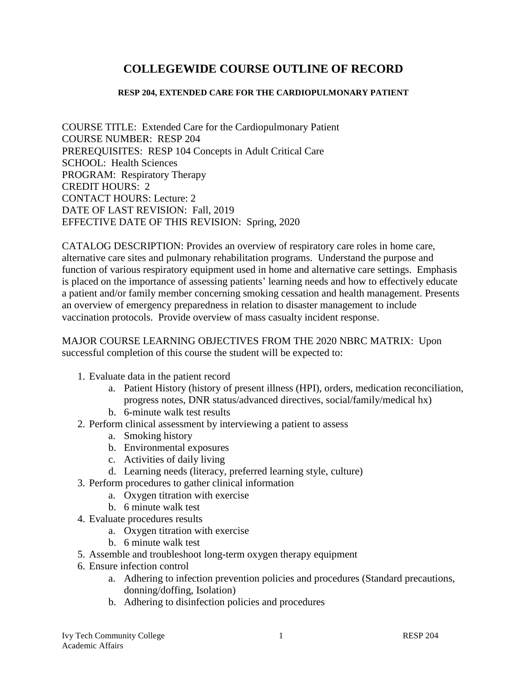# **COLLEGEWIDE COURSE OUTLINE OF RECORD**

### **RESP 204, EXTENDED CARE FOR THE CARDIOPULMONARY PATIENT**

COURSE TITLE: Extended Care for the Cardiopulmonary Patient COURSE NUMBER: RESP 204 PREREQUISITES: RESP 104 Concepts in Adult Critical Care SCHOOL: Health Sciences PROGRAM: Respiratory Therapy CREDIT HOURS: 2 CONTACT HOURS: Lecture: 2 DATE OF LAST REVISION: Fall, 2019 EFFECTIVE DATE OF THIS REVISION: Spring, 2020

CATALOG DESCRIPTION: Provides an overview of respiratory care roles in home care, alternative care sites and pulmonary rehabilitation programs. Understand the purpose and function of various respiratory equipment used in home and alternative care settings. Emphasis is placed on the importance of assessing patients' learning needs and how to effectively educate a patient and/or family member concerning smoking cessation and health management. Presents an overview of emergency preparedness in relation to disaster management to include vaccination protocols. Provide overview of mass casualty incident response.

MAJOR COURSE LEARNING OBJECTIVES FROM THE 2020 NBRC MATRIX: Upon successful completion of this course the student will be expected to:

- 1. Evaluate data in the patient record
	- a. Patient History (history of present illness (HPI), orders, medication reconciliation, progress notes, DNR status/advanced directives, social/family/medical hx)
	- b. 6-minute walk test results
- 2. Perform clinical assessment by interviewing a patient to assess
	- a. Smoking history
	- b. Environmental exposures
	- c. Activities of daily living
	- d. Learning needs (literacy, preferred learning style, culture)
- 3. Perform procedures to gather clinical information
	- a. Oxygen titration with exercise
	- b. 6 minute walk test
- 4. Evaluate procedures results
	- a. Oxygen titration with exercise
	- b. 6 minute walk test
- 5. Assemble and troubleshoot long-term oxygen therapy equipment
- 6. Ensure infection control
	- a. Adhering to infection prevention policies and procedures (Standard precautions, donning/doffing, Isolation)
	- b. Adhering to disinfection policies and procedures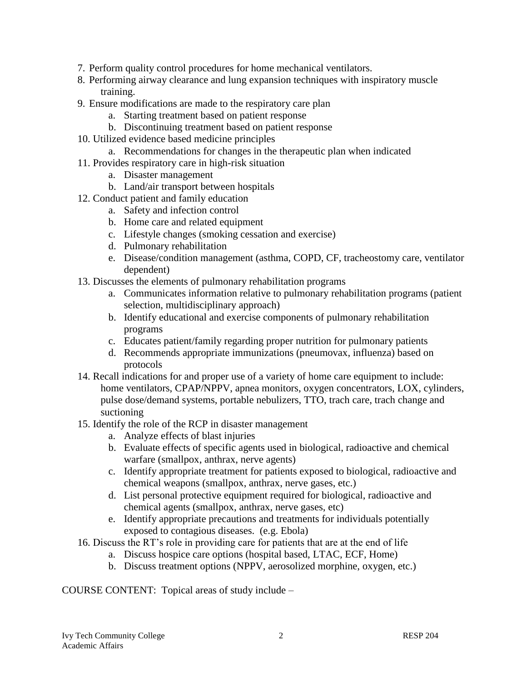- 7. Perform quality control procedures for home mechanical ventilators.
- 8. Performing airway clearance and lung expansion techniques with inspiratory muscle training.
- 9. Ensure modifications are made to the respiratory care plan
	- a. Starting treatment based on patient response
	- b. Discontinuing treatment based on patient response
- 10. Utilized evidence based medicine principles
	- a. Recommendations for changes in the therapeutic plan when indicated
- 11. Provides respiratory care in high-risk situation
	- a. Disaster management
	- b. Land/air transport between hospitals
- 12. Conduct patient and family education
	- a. Safety and infection control
	- b. Home care and related equipment
	- c. Lifestyle changes (smoking cessation and exercise)
	- d. Pulmonary rehabilitation
	- e. Disease/condition management (asthma, COPD, CF, tracheostomy care, ventilator dependent)
- 13. Discusses the elements of pulmonary rehabilitation programs
	- a. Communicates information relative to pulmonary rehabilitation programs (patient selection, multidisciplinary approach)
	- b. Identify educational and exercise components of pulmonary rehabilitation programs
	- c. Educates patient/family regarding proper nutrition for pulmonary patients
	- d. Recommends appropriate immunizations (pneumovax, influenza) based on protocols
- 14. Recall indications for and proper use of a variety of home care equipment to include: home ventilators, CPAP/NPPV, apnea monitors, oxygen concentrators, LOX, cylinders, pulse dose/demand systems, portable nebulizers, TTO, trach care, trach change and suctioning
- 15. Identify the role of the RCP in disaster management
	- a. Analyze effects of blast injuries
	- b. Evaluate effects of specific agents used in biological, radioactive and chemical warfare (smallpox, anthrax, nerve agents)
	- c. Identify appropriate treatment for patients exposed to biological, radioactive and chemical weapons (smallpox, anthrax, nerve gases, etc.)
	- d. List personal protective equipment required for biological, radioactive and chemical agents (smallpox, anthrax, nerve gases, etc)
	- e. Identify appropriate precautions and treatments for individuals potentially exposed to contagious diseases. (e.g. Ebola)
- 16. Discuss the RT's role in providing care for patients that are at the end of life
	- a. Discuss hospice care options (hospital based, LTAC, ECF, Home)
	- b. Discuss treatment options (NPPV, aerosolized morphine, oxygen, etc.)

COURSE CONTENT: Topical areas of study include –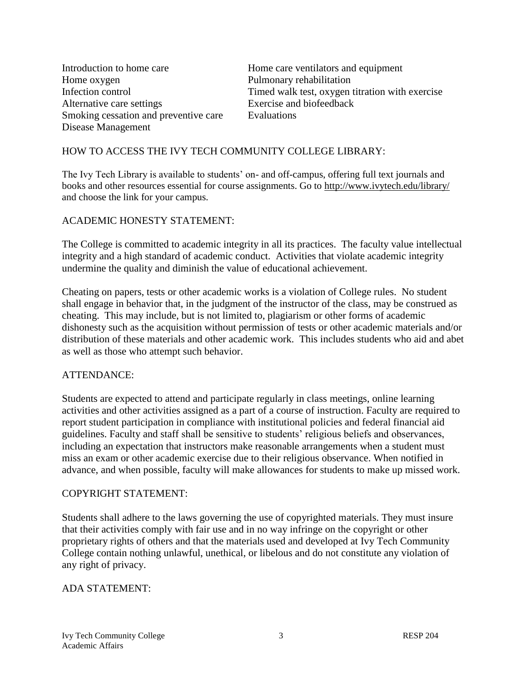Introduction to home care Home care ventilators and equipment Home oxygen Pulmonary rehabilitation Alternative care settings Exercise and biofeedback Smoking cessation and preventive care Evaluations Disease Management

Infection control Timed walk test, oxygen titration with exercise

## HOW TO ACCESS THE IVY TECH COMMUNITY COLLEGE LIBRARY:

The Ivy Tech Library is available to students' on- and off-campus, offering full text journals and books and other resources essential for course assignments. Go to<http://www.ivytech.edu/library/> and choose the link for your campus.

### ACADEMIC HONESTY STATEMENT:

The College is committed to academic integrity in all its practices. The faculty value intellectual integrity and a high standard of academic conduct. Activities that violate academic integrity undermine the quality and diminish the value of educational achievement.

Cheating on papers, tests or other academic works is a violation of College rules. No student shall engage in behavior that, in the judgment of the instructor of the class, may be construed as cheating. This may include, but is not limited to, plagiarism or other forms of academic dishonesty such as the acquisition without permission of tests or other academic materials and/or distribution of these materials and other academic work. This includes students who aid and abet as well as those who attempt such behavior.

#### ATTENDANCE:

Students are expected to attend and participate regularly in class meetings, online learning activities and other activities assigned as a part of a course of instruction. Faculty are required to report student participation in compliance with institutional policies and federal financial aid guidelines. Faculty and staff shall be sensitive to students' religious beliefs and observances, including an expectation that instructors make reasonable arrangements when a student must miss an exam or other academic exercise due to their religious observance. When notified in advance, and when possible, faculty will make allowances for students to make up missed work.

#### COPYRIGHT STATEMENT:

Students shall adhere to the laws governing the use of copyrighted materials. They must insure that their activities comply with fair use and in no way infringe on the copyright or other proprietary rights of others and that the materials used and developed at Ivy Tech Community College contain nothing unlawful, unethical, or libelous and do not constitute any violation of any right of privacy.

#### ADA STATEMENT: